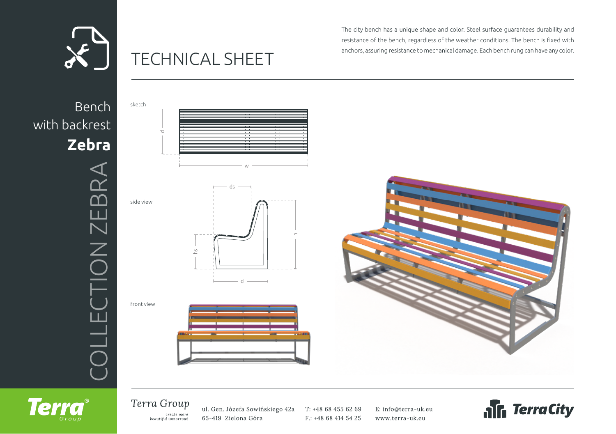

## TECHNICAL SHEET

The city bench has a unique shape and color. Steel surface guarantees durability and resistance of the bench, regardless of the weather conditions. The bench is fixed with anchors, assuring resistance to mechanical damage. Each bench rung can have any color.

Bench with backrest **Zebra** ION ZEBRA COLLECTION ZEBRA -TE  $\overline{\bigcap}$ 







Terra Group create more beautiful tomorrow!

ul. Gen. Józefa Sowińskiego 42a 65-419 Zielona Góra

T: +48 68 455 62 69 F.: +48 68 414 54 25 E: info@terra-uk.eu www.terra-uk.eu